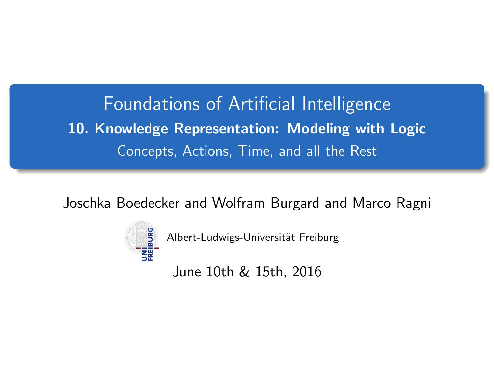<span id="page-0-0"></span>Foundations of Artificial Intelligence 10. Knowledge Representation: Modeling with Logic Concepts, Actions, Time, and all the Rest

Joschka Boedecker and Wolfram Burgard and Marco Ragni



Albert-Ludwigs-Universität Freiburg

June 10th & 15th, 2016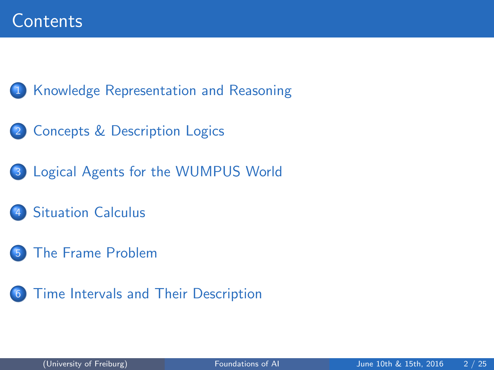[Knowledge Representation and Reasoning](#page-2-0)

- [Concepts & Description Logics](#page-3-0)
- [Logical Agents for the WUMPUS World](#page-8-0)
	- **[Situation Calculus](#page-11-0)**
- [The Frame Problem](#page-14-0)
- [Time Intervals and Their Description](#page-18-0)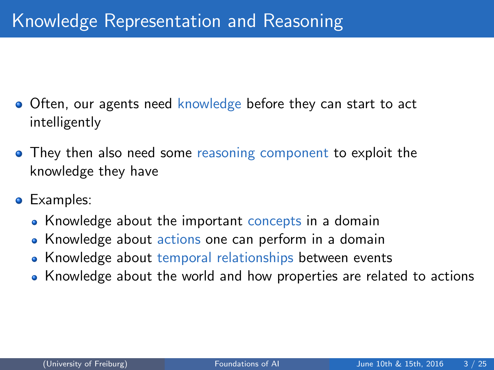- <span id="page-2-0"></span>Often, our agents need knowledge before they can start to act intelligently
- They then also need some reasoning component to exploit the knowledge they have
- **•** Examples:
	- Knowledge about the important concepts in a domain
	- Knowledge about actions one can perform in a domain
	- Knowledge about temporal relationships between events
	- Knowledge about the world and how properties are related to actions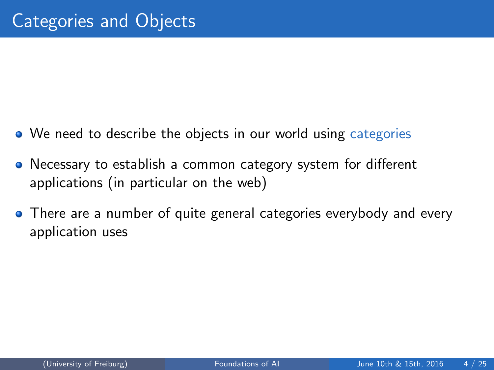- <span id="page-3-0"></span>• We need to describe the objects in our world using categories
- Necessary to establish a common category system for different applications (in particular on the web)
- There are a number of quite general categories everybody and every application uses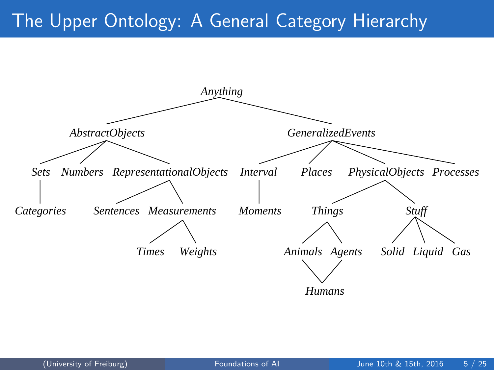## The Upper Ontology: A General Category Hierarchy

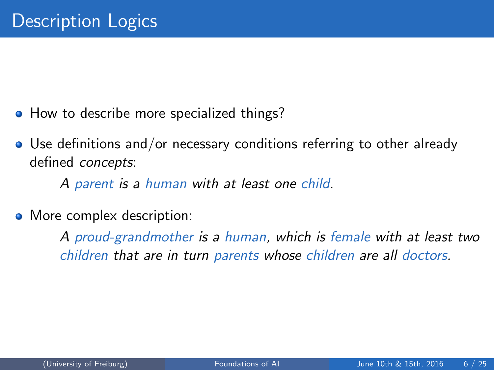- How to describe more specialized things?
- Use definitions and/or necessary conditions referring to other already defined concepts:

A parent is a human with at least one child.

• More complex description:

A proud-grandmother is a human, which is female with at least two children that are in turn parents whose children are all doctors.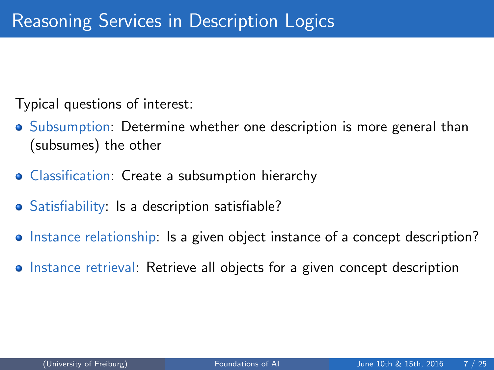Typical questions of interest:

- Subsumption: Determine whether one description is more general than (subsumes) the other
- Classification: Create a subsumption hierarchy
- Satisfiability: Is a description satisfiable?
- Instance relationship: Is a given object instance of a concept description?
- Instance retrieval: Retrieve all objects for a given concept description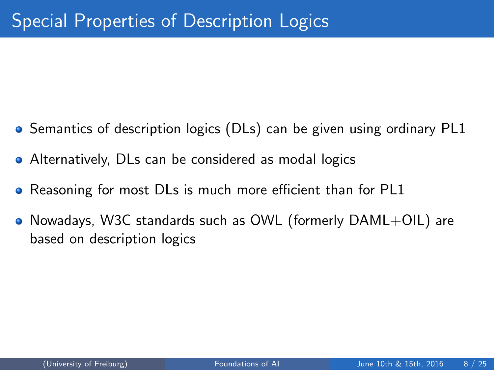- Semantics of description logics (DLs) can be given using ordinary PL1
- Alternatively, DLs can be considered as modal logics
- Reasoning for most DLs is much more efficient than for PL1  $\bullet$
- $\bullet$  Nowadays, W3C standards such as OWL (formerly  $DAML+OL$ ) are based on description logics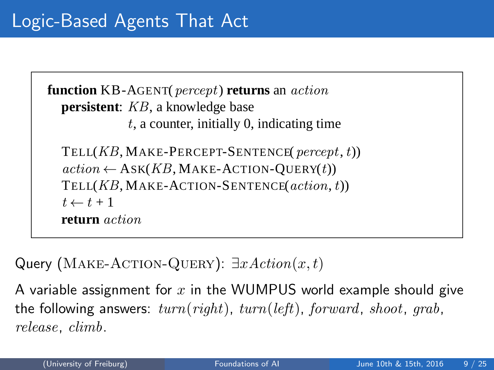```
function KB-AGENT(percept) returns an action
persistent: KB, a knowledge base
           t, a counter, initially 0, indicating time
TELL(KB, \text{MAKE-PERCEPT-SENTENCE}(\text{percept}, t))action \leftarrow ASK(KB, MAKE-ACTION-Query(t))TELL(KB, MAKE-ACTION-SENTENCE(action,t))
t \leftarrow t + 1return action
```
Query (MAKE-ACTION-QUERY): ∃ $xAction(x, t)$ 

A variable assignment for  $x$  in the WUMPUS world example should give the following answers:  $turn(right)$ ,  $turn(left)$ , forward, shoot, grab, release, climb.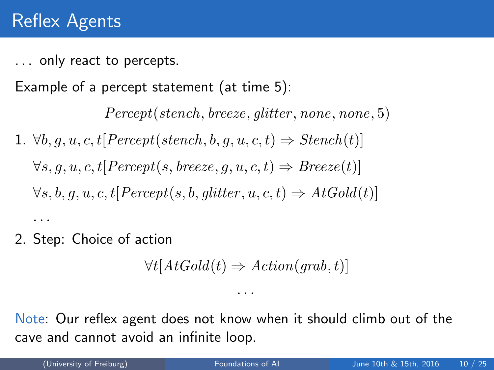... only react to percepts.

Example of a percept statement (at time 5):

Percept(stench, breeze, glitter, none, none, 5) 1.  $\forall b, q, u, c, t$ [Percept(stench, b, q, u, c, t)  $\Rightarrow$  Stench(t)]  $\forall s, q, u, c, t$ [Percept(s, breeze, g, u, c, t)  $\Rightarrow$  Breeze(t)]  $\forall s, b, q, u, c, t$ [Percept(s, b, glitter, u, c, t)  $\Rightarrow$  AtGold(t)] · · ·

2. Step: Choice of action

$$
\forall t[AtGold(t) \Rightarrow Action(grab, t)]
$$

Note: Our reflex agent does not know when it should climb out of the cave and cannot avoid an infinite loop.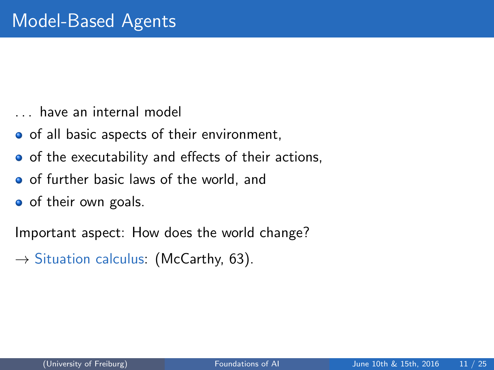- . . . have an internal model
- o of all basic aspects of their environment,
- o of the executability and effects of their actions,
- **o** of further basic laws of the world, and
- o of their own goals.

Important aspect: How does the world change?

 $\rightarrow$  Situation calculus: (McCarthy, 63).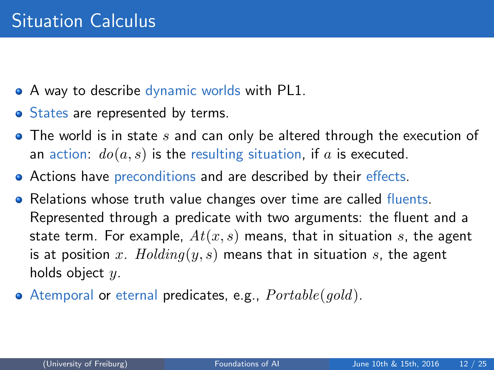- <span id="page-11-0"></span>• A way to describe dynamic worlds with PL1.
- States are represented by terms.
- $\bullet$  The world is in state s and can only be altered through the execution of an action:  $do(a, s)$  is the resulting situation, if a is executed.
- Actions have preconditions and are described by their effects.
- Relations whose truth value changes over time are called fluents. Represented through a predicate with two arguments: the fluent and a state term. For example,  $At(x, s)$  means, that in situation s, the agent is at position x.  $Holding(y, s)$  means that in situation s, the agent holds object  $y$ .
- Atemporal or eternal predicates, e.g.,  $\textit{Portable}(gold)$ .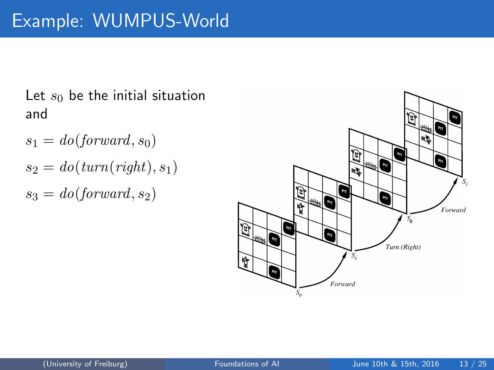## Let  $s_0$  be the initial situation and

- $s_1 = do(forward, s_0)$  $s_2 = do(turn(right), s_1)$
- $s_3 = do(forward, s_2)$

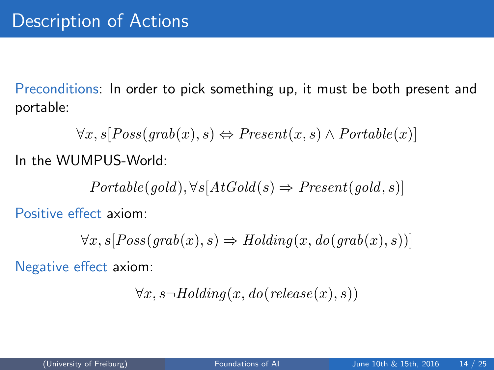Preconditions: In order to pick something up, it must be both present and portable:

 $\forall x, s \, [Poss(qrab(x), s) \Leftrightarrow Present(x, s) \wedge Portable(x)]$ 

In the WUMPUS-World:

 $Protable(qold), \forall s[AtGold(s) \Rightarrow Present(qold, s)]$ 

Positive effect axiom:

 $\forall x, s [Poss(qrab(x), s) \Rightarrow Holding(x, do(qrab(x), s))]$ 

Negative effect axiom:

$$
\forall x, s \neg \text{Holding}(x, do(release(x), s))
$$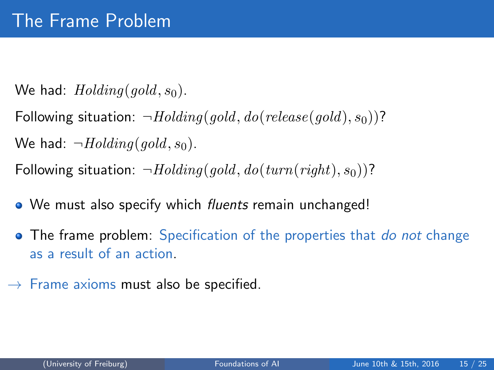<span id="page-14-0"></span>We had:  $Holding(qold, s_0)$ .

Following situation:  $\neg Holding(gold, do(release(gold), s_0))$ ?

We had:  $\neg$ *Holding*(*gold*,  $s_0$ ).

Following situation:  $\neg Holland(qold, do(turn(richt), s_0))$ ?

- We must also specify which *fluents* remain unchanged!
- The frame problem: Specification of the properties that *do not* change as a result of an action.
- $\rightarrow$  Frame axioms must also be specified.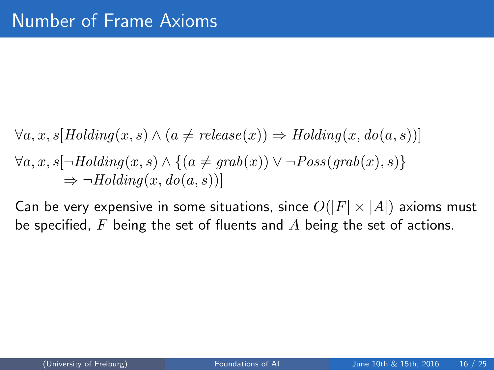$\forall a, x, s \{Holding(x, s) \land (a \neq release(x)) \Rightarrow Holding(x, do(a, s))\}$  $\forall a, x, s \neg \text{Holding}(x, s) \land \{(a \neq \text{prob}(x)) \lor \neg \text{Poss}(\text{prob}(x), s)\}\$  $\Rightarrow \neg \text{Holding}(x, do(a, s))$ 

Can be very expensive in some situations, since  $O(|F| \times |A|)$  axioms must be specified,  $F$  being the set of fluents and  $A$  being the set of actions.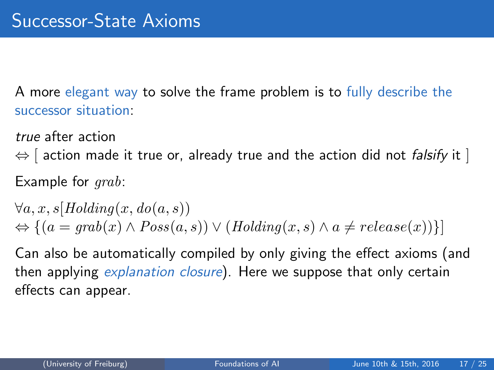A more elegant way to solve the frame problem is to fully describe the successor situation:

true after action

 $\Leftrightarrow$  [ action made it true or, already true and the action did not *falsify* it ] Example for *grab*:

 $\forall a, x, s \, [Holding(x, do(a, s))]$  $\Leftrightarrow$   $\{(a = \text{prob}(x) \land \text{Poss}(a, s)) \lor (\text{Holding}(x, s) \land a \neq \text{release}(x))\}\$ 

Can also be automatically compiled by only giving the effect axioms (and then applying *explanation closure*). Here we suppose that only certain effects can appear.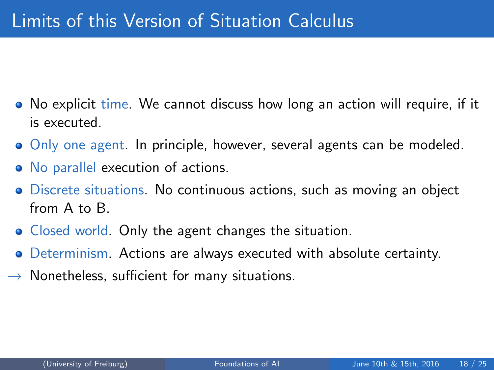- No explicit time. We cannot discuss how long an action will require, if it is executed.
- Only one agent. In principle, however, several agents can be modeled.
- No parallel execution of actions.
- Discrete situations. No continuous actions, such as moving an object from A to B.
- Closed world. Only the agent changes the situation.
- Determinism. Actions are always executed with absolute certainty.
- $\rightarrow$  Nonetheless, sufficient for many situations.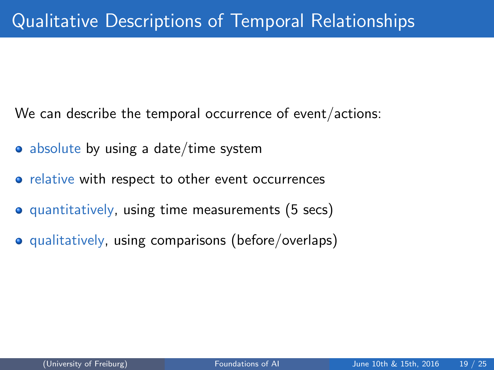<span id="page-18-0"></span>We can describe the temporal occurrence of event/actions:

- absolute by using a date/time system
- relative with respect to other event occurrences
- **•** quantitatively, using time measurements (5 secs)
- **•** qualitatively, using comparisons (before/overlaps)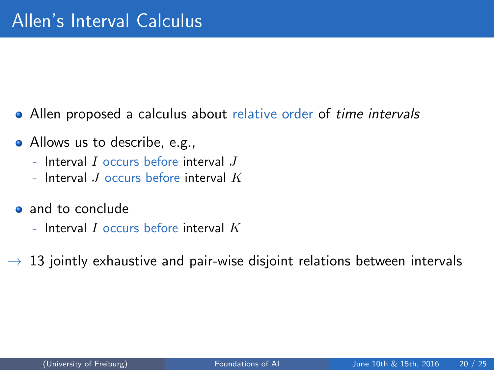- Allen proposed a calculus about relative order of time intervals
- Allows us to describe, e.g.,
	- Interval  $I$  occurs before interval  $J$
	- Interval  $J$  occurs before interval  $K$
- and to conclude
	- Interval  $I$  occurs before interval  $K$
- $\rightarrow$  13 jointly exhaustive and pair-wise disjoint relations between intervals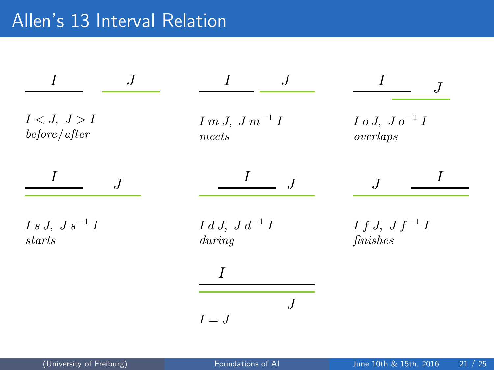## Allen's 13 Interval Relation

|                                 | . J                           |                                         |
|---------------------------------|-------------------------------|-----------------------------------------|
| I < J, J > I<br>before/after    | $I m J, J m^{-1} I$<br>meets  | $I \circ J, J \circ^{-1} I$<br>overlaps |
| $\overline{J}$                  | $\perp$<br>J                  |                                         |
| $I s J, J s^{-1} I$<br>$starts$ | $I d J, J d^{-1} I$<br>during | $I f J, J f^{-1} I$<br>finishes         |
|                                 |                               |                                         |
|                                 | $I = J$                       |                                         |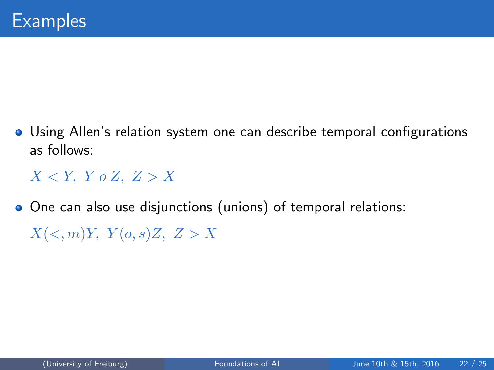Using Allen's relation system one can describe temporal configurations as follows:

 $X < Y$ ,  $Y \circ Z$ ,  $Z > X$ 

One can also use disjunctions (unions) of temporal relations:

 $X(<,m)Y$ ,  $Y(o,s)Z$ ,  $Z > X$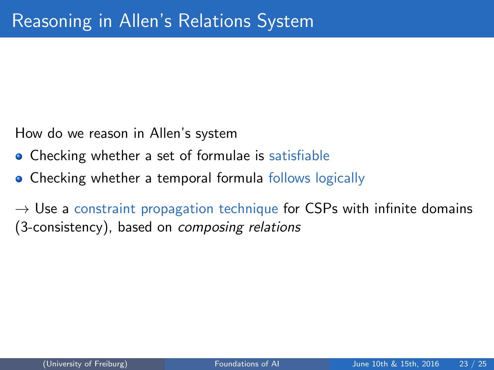How do we reason in Allen's system

- **Checking whether a set of formulae is satisfiable**
- Checking whether a temporal formula follows logically

 $\rightarrow$  Use a constraint propagation technique for CSPs with infinite domains (3-consistency), based on composing relations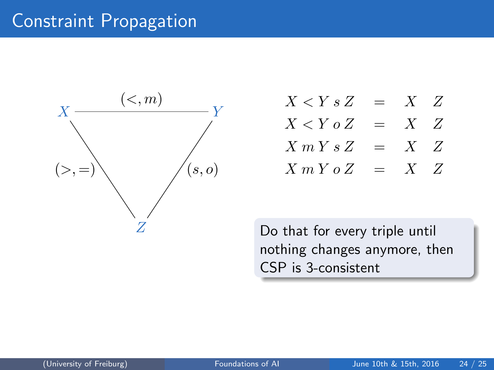## Constraint Propagation



- $X < Y s Z = X Z$  $X < Y \circ Z = X Z$
- $\begin{array}{rclclcl} X\ m\ Y\ s\ Z & = & X & Z \end{array}$
- $X m Y o Z = X Z$

Do that for every triple until nothing changes anymore, then CSP is 3-consistent